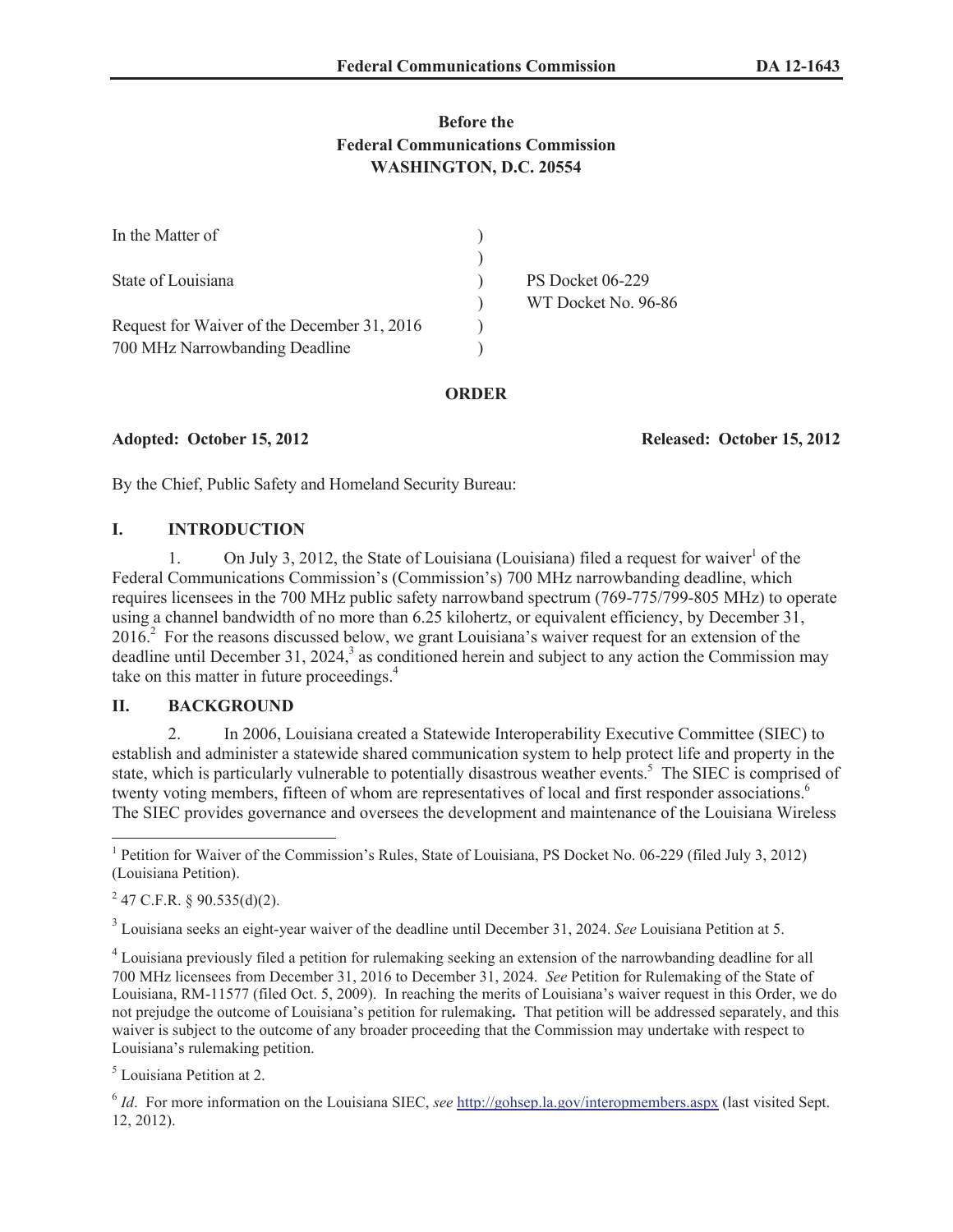# **Before the Federal Communications Commission WASHINGTON, D.C. 20554**

| In the Matter of                            |                     |
|---------------------------------------------|---------------------|
|                                             |                     |
| State of Louisiana                          | PS Docket 06-229    |
|                                             | WT Docket No. 96-86 |
| Request for Waiver of the December 31, 2016 |                     |
| 700 MHz Narrowbanding Deadline              |                     |

#### **ORDER**

**Adopted: October 15, 2012 Released: October 15, 2012**

By the Chief, Public Safety and Homeland Security Bureau:

## **I. INTRODUCTION**

1. On July 3, 2012, the State of Louisiana (Louisiana) filed a request for waiver<sup>1</sup> of the Federal Communications Commission's (Commission's) 700 MHz narrowbanding deadline, which requires licensees in the 700 MHz public safety narrowband spectrum (769-775/799-805 MHz) to operate using a channel bandwidth of no more than 6.25 kilohertz, or equivalent efficiency, by December 31,  $2016<sup>2</sup>$  For the reasons discussed below, we grant Louisiana's waiver request for an extension of the deadline until December 31, 2024,<sup>3</sup> as conditioned herein and subject to any action the Commission may take on this matter in future proceedings.<sup>4</sup>

## **II. BACKGROUND**

2. In 2006, Louisiana created a Statewide Interoperability Executive Committee (SIEC) to establish and administer a statewide shared communication system to help protect life and property in the state, which is particularly vulnerable to potentially disastrous weather events.<sup>5</sup> The SIEC is comprised of twenty voting members, fifteen of whom are representatives of local and first responder associations.<sup>6</sup> The SIEC provides governance and oversees the development and maintenance of the Louisiana Wireless

 $^{2}$  47 C.F.R. § 90.535(d)(2).

3 Louisiana seeks an eight-year waiver of the deadline until December 31, 2024. *See* Louisiana Petition at 5.

<sup>4</sup> Louisiana previously filed a petition for rulemaking seeking an extension of the narrowbanding deadline for all 700 MHz licensees from December 31, 2016 to December 31, 2024. *See* Petition for Rulemaking of the State of Louisiana, RM-11577 (filed Oct. 5, 2009). In reaching the merits of Louisiana's waiver request in this Order, we do not prejudge the outcome of Louisiana's petition for rulemaking**.** That petition will be addressed separately, and this waiver is subject to the outcome of any broader proceeding that the Commission may undertake with respect to Louisiana's rulemaking petition.

<sup>5</sup> Louisiana Petition at 2.

6 *Id*. For more information on the Louisiana SIEC, *see* http://gohsep.la.gov/interopmembers.aspx (last visited Sept. 12, 2012).

<sup>&</sup>lt;sup>1</sup> Petition for Waiver of the Commission's Rules, State of Louisiana, PS Docket No. 06-229 (filed July 3, 2012) (Louisiana Petition).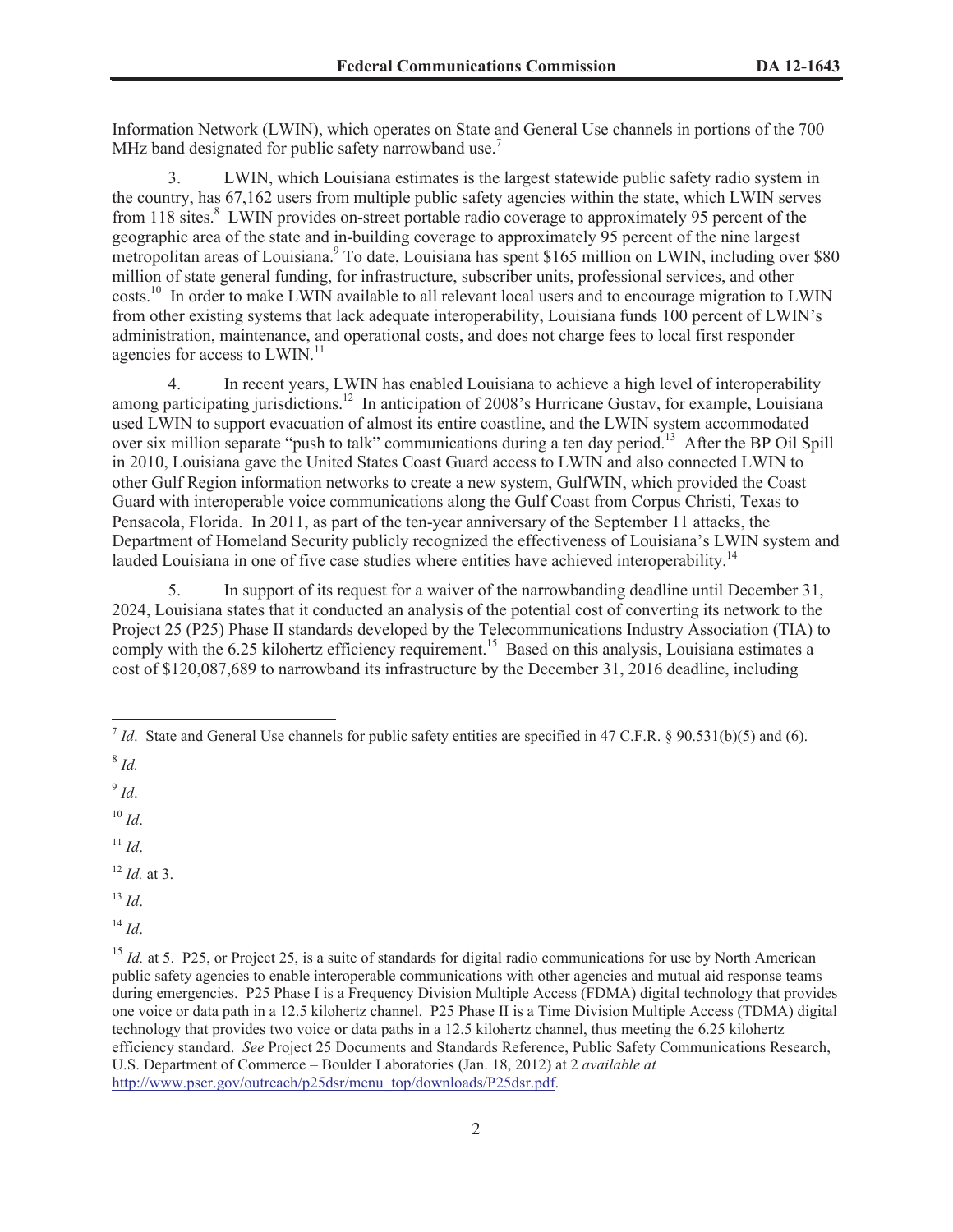Information Network (LWIN), which operates on State and General Use channels in portions of the 700 MHz band designated for public safety narrowband use.<sup>7</sup>

3. LWIN, which Louisiana estimates is the largest statewide public safety radio system in the country, has 67,162 users from multiple public safety agencies within the state, which LWIN serves from  $118$  sites.<sup>8</sup> LWIN provides on-street portable radio coverage to approximately 95 percent of the geographic area of the state and in-building coverage to approximately 95 percent of the nine largest metropolitan areas of Louisiana.<sup>9</sup> To date, Louisiana has spent \$165 million on LWIN, including over \$80 million of state general funding, for infrastructure, subscriber units, professional services, and other costs.<sup>10</sup> In order to make LWIN available to all relevant local users and to encourage migration to LWIN from other existing systems that lack adequate interoperability, Louisiana funds 100 percent of LWIN's administration, maintenance, and operational costs, and does not charge fees to local first responder agencies for access to LWIN.<sup>11</sup>

4. In recent years, LWIN has enabled Louisiana to achieve a high level of interoperability among participating jurisdictions.<sup>12</sup> In anticipation of 2008's Hurricane Gustav, for example, Louisiana used LWIN to support evacuation of almost its entire coastline, and the LWIN system accommodated over six million separate "push to talk" communications during a ten day period.<sup>13</sup> After the BP Oil Spill in 2010, Louisiana gave the United States Coast Guard access to LWIN and also connected LWIN to other Gulf Region information networks to create a new system, GulfWIN, which provided the Coast Guard with interoperable voice communications along the Gulf Coast from Corpus Christi, Texas to Pensacola, Florida. In 2011, as part of the ten-year anniversary of the September 11 attacks, the Department of Homeland Security publicly recognized the effectiveness of Louisiana's LWIN system and lauded Louisiana in one of five case studies where entities have achieved interoperability.<sup>14</sup>

5. In support of its request for a waiver of the narrowbanding deadline until December 31, 2024, Louisiana states that it conducted an analysis of the potential cost of converting its network to the Project 25 (P25) Phase II standards developed by the Telecommunications Industry Association (TIA) to comply with the 6.25 kilohertz efficiency requirement.<sup>15</sup> Based on this analysis, Louisiana estimates a cost of \$120,087,689 to narrowband its infrastructure by the December 31, 2016 deadline, including

9 *Id*.

 $10 \,$ *Id.* 

 $11$  *Id.* 

<sup>12</sup> *Id.* at 3.

<sup>13</sup> *Id*.

 $14$  *Id*.

 $^7$  *Id*. State and General Use channels for public safety entities are specified in 47 C.F.R. § 90.531(b)(5) and (6).

<sup>8</sup> *Id.*

<sup>&</sup>lt;sup>15</sup> *Id.* at 5. P25, or Project 25, is a suite of standards for digital radio communications for use by North American public safety agencies to enable interoperable communications with other agencies and mutual aid response teams during emergencies. P25 Phase I is a Frequency Division Multiple Access (FDMA) digital technology that provides one voice or data path in a 12.5 kilohertz channel. P25 Phase II is a Time Division Multiple Access (TDMA) digital technology that provides two voice or data paths in a 12.5 kilohertz channel, thus meeting the 6.25 kilohertz efficiency standard. *See* Project 25 Documents and Standards Reference, Public Safety Communications Research, U.S. Department of Commerce – Boulder Laboratories (Jan. 18, 2012) at 2 *available at* http://www.pscr.gov/outreach/p25dsr/menu\_top/downloads/P25dsr.pdf.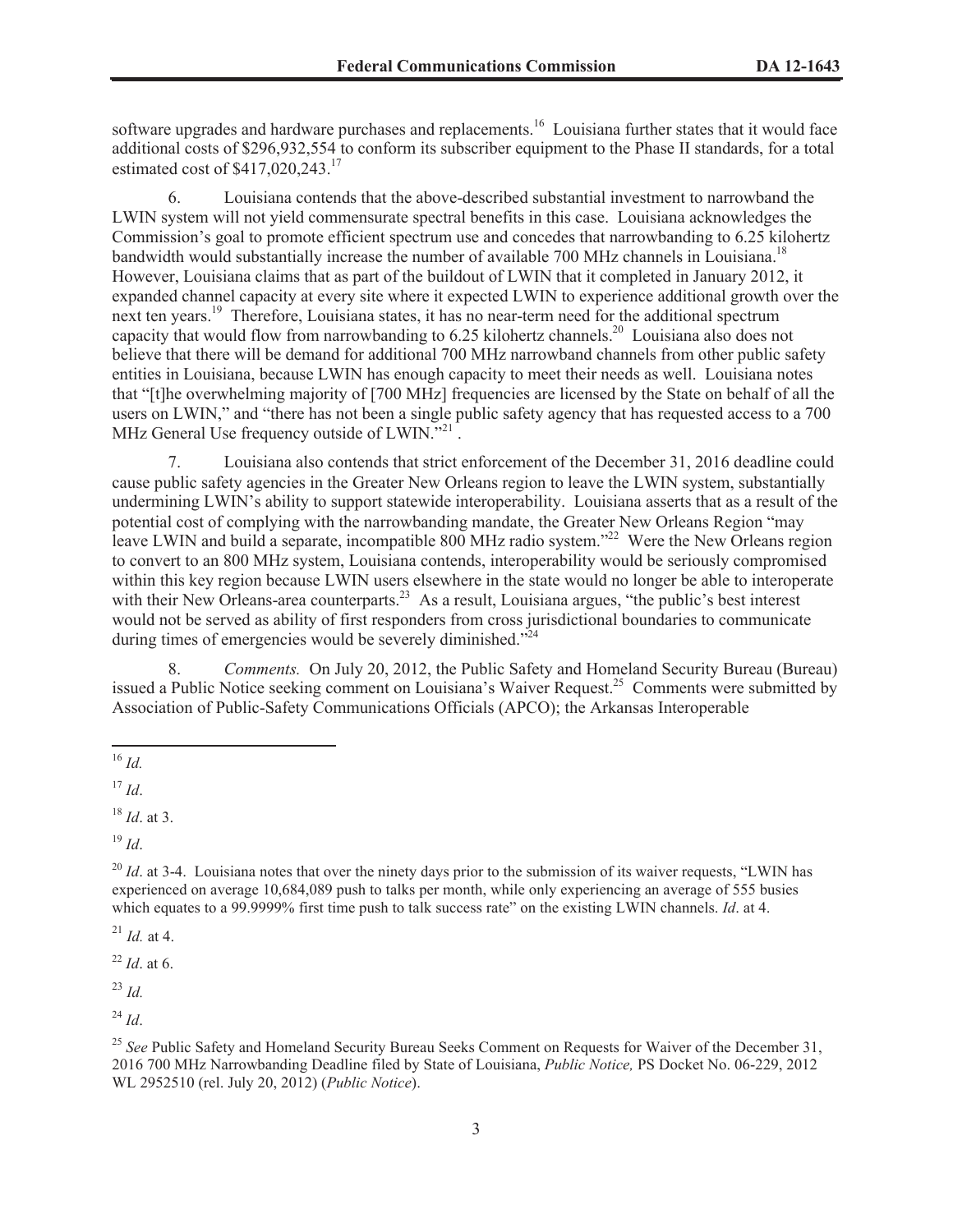software upgrades and hardware purchases and replacements.<sup>16</sup> Louisiana further states that it would face additional costs of \$296,932,554 to conform its subscriber equipment to the Phase II standards, for a total estimated cost of  $$417,020,243$ <sup>17</sup>

6. Louisiana contends that the above-described substantial investment to narrowband the LWIN system will not yield commensurate spectral benefits in this case. Louisiana acknowledges the Commission's goal to promote efficient spectrum use and concedes that narrowbanding to 6.25 kilohertz bandwidth would substantially increase the number of available 700 MHz channels in Louisiana.<sup>18</sup> However, Louisiana claims that as part of the buildout of LWIN that it completed in January 2012, it expanded channel capacity at every site where it expected LWIN to experience additional growth over the next ten years.<sup>19</sup> Therefore, Louisiana states, it has no near-term need for the additional spectrum capacity that would flow from narrowbanding to 6.25 kilohertz channels.<sup>20</sup> Louisiana also does not believe that there will be demand for additional 700 MHz narrowband channels from other public safety entities in Louisiana, because LWIN has enough capacity to meet their needs as well. Louisiana notes that "[t]he overwhelming majority of [700 MHz] frequencies are licensed by the State on behalf of all the users on LWIN," and "there has not been a single public safety agency that has requested access to a 700 MHz General Use frequency outside of LWIN."<sup>21</sup>.

7. Louisiana also contends that strict enforcement of the December 31, 2016 deadline could cause public safety agencies in the Greater New Orleans region to leave the LWIN system, substantially undermining LWIN's ability to support statewide interoperability. Louisiana asserts that as a result of the potential cost of complying with the narrowbanding mandate, the Greater New Orleans Region "may leave LWIN and build a separate, incompatible 800 MHz radio system."<sup>22</sup> Were the New Orleans region to convert to an 800 MHz system, Louisiana contends, interoperability would be seriously compromised within this key region because LWIN users elsewhere in the state would no longer be able to interoperate with their New Orleans-area counterparts.<sup>23</sup> As a result, Louisiana argues, "the public's best interest would not be served as ability of first responders from cross jurisdictional boundaries to communicate during times of emergencies would be severely diminished." $2^{24}$ 

8. *Comments.* On July 20, 2012, the Public Safety and Homeland Security Bureau (Bureau) issued a Public Notice seeking comment on Louisiana's Waiver Request.<sup>25</sup> Comments were submitted by Association of Public-Safety Communications Officials (APCO); the Arkansas Interoperable

 $19 \, Id$ 

<sup>21</sup> *Id.* at 4.

<sup>22</sup> *Id*. at 6.

<sup>23</sup> *Id.*

<sup>24</sup> *Id*.

<sup>16</sup> *Id.*

 $17$  *Id.* 

<sup>18</sup> *Id*. at 3.

<sup>&</sup>lt;sup>20</sup> *Id.* at 3-4. Louisiana notes that over the ninety days prior to the submission of its waiver requests, "LWIN has experienced on average 10,684,089 push to talks per month, while only experiencing an average of 555 busies which equates to a 99.9999% first time push to talk success rate" on the existing LWIN channels. *Id.* at 4.

<sup>&</sup>lt;sup>25</sup> See Public Safety and Homeland Security Bureau Seeks Comment on Requests for Waiver of the December 31, 2016 700 MHz Narrowbanding Deadline filed by State of Louisiana, *Public Notice,* PS Docket No. 06-229, 2012 WL 2952510 (rel. July 20, 2012) (*Public Notice*).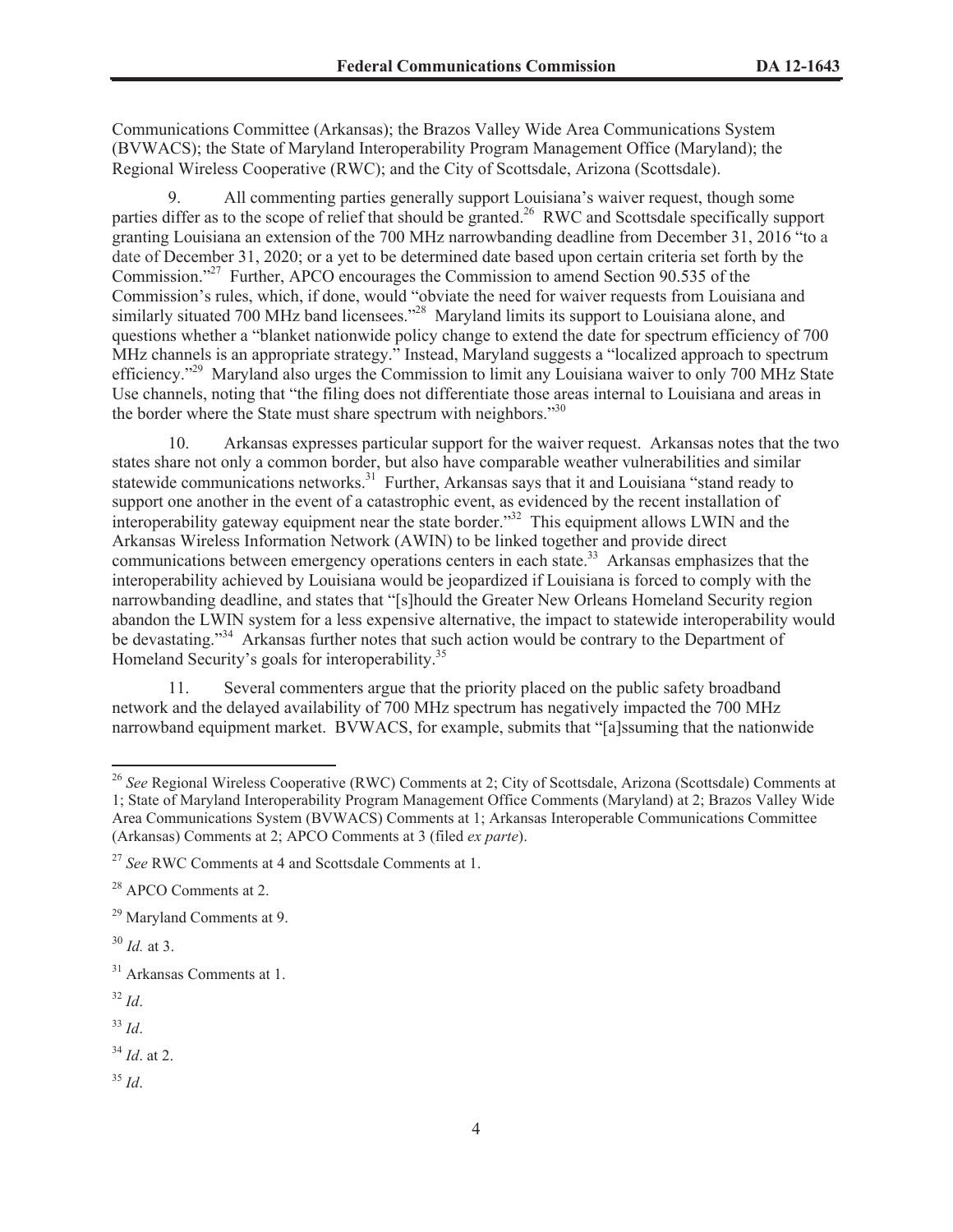Communications Committee (Arkansas); the Brazos Valley Wide Area Communications System (BVWACS); the State of Maryland Interoperability Program Management Office (Maryland); the Regional Wireless Cooperative (RWC); and the City of Scottsdale, Arizona (Scottsdale).

9. All commenting parties generally support Louisiana's waiver request, though some parties differ as to the scope of relief that should be granted.<sup>26</sup> RWC and Scottsdale specifically support granting Louisiana an extension of the 700 MHz narrowbanding deadline from December 31, 2016 "to a date of December 31, 2020; or a yet to be determined date based upon certain criteria set forth by the Commission."<sup>27</sup> Further, APCO encourages the Commission to amend Section 90.535 of the Commission's rules, which, if done, would "obviate the need for waiver requests from Louisiana and similarly situated 700 MHz band licensees.<sup>228</sup> Maryland limits its support to Louisiana alone, and questions whether a "blanket nationwide policy change to extend the date for spectrum efficiency of 700 MHz channels is an appropriate strategy." Instead, Maryland suggests a "localized approach to spectrum efficiency."<sup>29</sup> Maryland also urges the Commission to limit any Louisiana waiver to only 700 MHz State Use channels, noting that "the filing does not differentiate those areas internal to Louisiana and areas in the border where the State must share spectrum with neighbors."<sup>30</sup>

10. Arkansas expresses particular support for the waiver request. Arkansas notes that the two states share not only a common border, but also have comparable weather vulnerabilities and similar statewide communications networks.<sup>31</sup> Further, Arkansas says that it and Louisiana "stand ready to support one another in the event of a catastrophic event, as evidenced by the recent installation of interoperability gateway equipment near the state border."<sup>32</sup> This equipment allows LWIN and the Arkansas Wireless Information Network (AWIN) to be linked together and provide direct communications between emergency operations centers in each state.<sup>33</sup> Arkansas emphasizes that the interoperability achieved by Louisiana would be jeopardized if Louisiana is forced to comply with the narrowbanding deadline, and states that "[s]hould the Greater New Orleans Homeland Security region abandon the LWIN system for a less expensive alternative, the impact to statewide interoperability would be devastating."<sup>34</sup> Arkansas further notes that such action would be contrary to the Department of Homeland Security's goals for interoperability.<sup>35</sup>

11. Several commenters argue that the priority placed on the public safety broadband network and the delayed availability of 700 MHz spectrum has negatively impacted the 700 MHz narrowband equipment market. BVWACS, for example, submits that "[a]ssuming that the nationwide

 $30$  *Id.* at 3.

<sup>32</sup> *Id*.

<sup>33</sup> *Id*.

- <sup>34</sup> *Id*. at 2.
- <sup>35</sup> *Id*.

<sup>&</sup>lt;sup>26</sup> See Regional Wireless Cooperative (RWC) Comments at 2; City of Scottsdale, Arizona (Scottsdale) Comments at 1; State of Maryland Interoperability Program Management Office Comments (Maryland) at 2; Brazos Valley Wide Area Communications System (BVWACS) Comments at 1; Arkansas Interoperable Communications Committee (Arkansas) Comments at 2; APCO Comments at 3 (filed *ex parte*).

<sup>27</sup> *See* RWC Comments at 4 and Scottsdale Comments at 1.

<sup>28</sup> APCO Comments at 2.

<sup>29</sup> Maryland Comments at 9.

<sup>31</sup> Arkansas Comments at 1.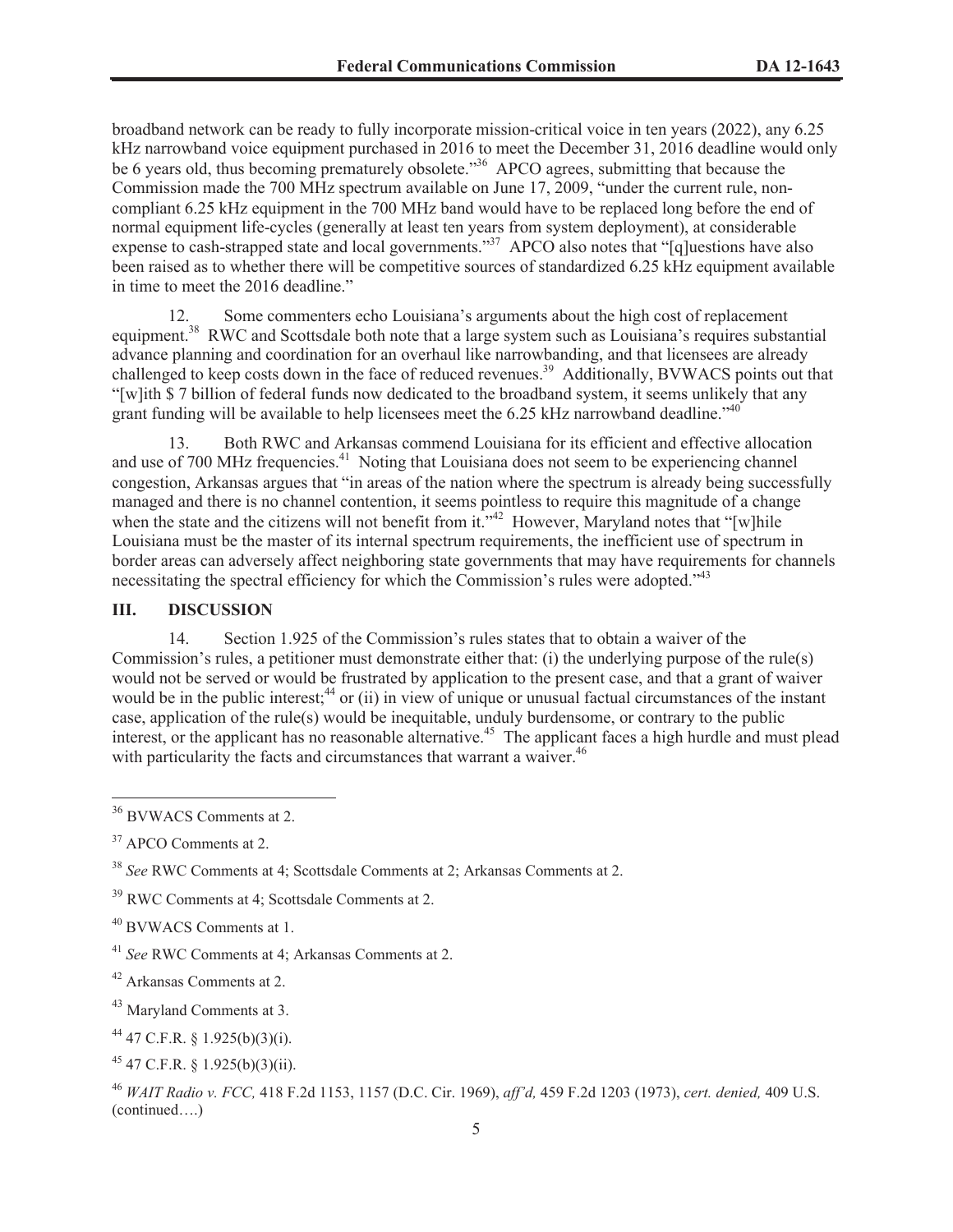broadband network can be ready to fully incorporate mission-critical voice in ten years (2022), any 6.25 kHz narrowband voice equipment purchased in 2016 to meet the December 31, 2016 deadline would only be 6 years old, thus becoming prematurely obsolete.<sup>356</sup> APCO agrees, submitting that because the Commission made the 700 MHz spectrum available on June 17, 2009, "under the current rule, noncompliant 6.25 kHz equipment in the 700 MHz band would have to be replaced long before the end of normal equipment life-cycles (generally at least ten years from system deployment), at considerable expense to cash-strapped state and local governments."<sup>37</sup> APCO also notes that "[q]uestions have also been raised as to whether there will be competitive sources of standardized 6.25 kHz equipment available in time to meet the 2016 deadline."

12. Some commenters echo Louisiana's arguments about the high cost of replacement equipment.<sup>38</sup> RWC and Scottsdale both note that a large system such as Louisiana's requires substantial advance planning and coordination for an overhaul like narrowbanding, and that licensees are already challenged to keep costs down in the face of reduced revenues.<sup>39</sup> Additionally, BVWACS points out that "[w]ith \$ 7 billion of federal funds now dedicated to the broadband system, it seems unlikely that any grant funding will be available to help licensees meet the 6.25 kHz narrowband deadline." <sup>40</sup>

13. Both RWC and Arkansas commend Louisiana for its efficient and effective allocation and use of 700 MHz frequencies.<sup>41</sup> Noting that Louisiana does not seem to be experiencing channel congestion, Arkansas argues that "in areas of the nation where the spectrum is already being successfully managed and there is no channel contention, it seems pointless to require this magnitude of a change when the state and the citizens will not benefit from it."<sup>42</sup> However, Maryland notes that "[w]hile Louisiana must be the master of its internal spectrum requirements, the inefficient use of spectrum in border areas can adversely affect neighboring state governments that may have requirements for channels necessitating the spectral efficiency for which the Commission's rules were adopted."<sup>43</sup>

## **III. DISCUSSION**

14. Section 1.925 of the Commission's rules states that to obtain a waiver of the Commission's rules, a petitioner must demonstrate either that: (i) the underlying purpose of the rule(s) would not be served or would be frustrated by application to the present case, and that a grant of waiver would be in the public interest;<sup>44</sup> or (ii) in view of unique or unusual factual circumstances of the instant case, application of the rule(s) would be inequitable, unduly burdensome, or contrary to the public interest, or the applicant has no reasonable alternative.<sup>45</sup> The applicant faces a high hurdle and must plead with particularity the facts and circumstances that warrant a waiver.<sup>46</sup>

<sup>36</sup> BVWACS Comments at 2.

<sup>&</sup>lt;sup>37</sup> APCO Comments at 2.

<sup>38</sup> *See* RWC Comments at 4; Scottsdale Comments at 2; Arkansas Comments at 2.

<sup>39</sup> RWC Comments at 4; Scottsdale Comments at 2.

<sup>40</sup> BVWACS Comments at 1.

<sup>41</sup> *See* RWC Comments at 4; Arkansas Comments at 2.

<sup>42</sup> Arkansas Comments at 2.

<sup>43</sup> Maryland Comments at 3.

<sup>44</sup> 47 C.F.R. § 1.925(b)(3)(i).

<sup>45</sup> 47 C.F.R. § 1.925(b)(3)(ii).

<sup>46</sup> *WAIT Radio v. FCC,* 418 F.2d 1153, 1157 (D.C. Cir. 1969), *aff'd,* 459 F.2d 1203 (1973), *cert. denied,* 409 U.S. (continued….)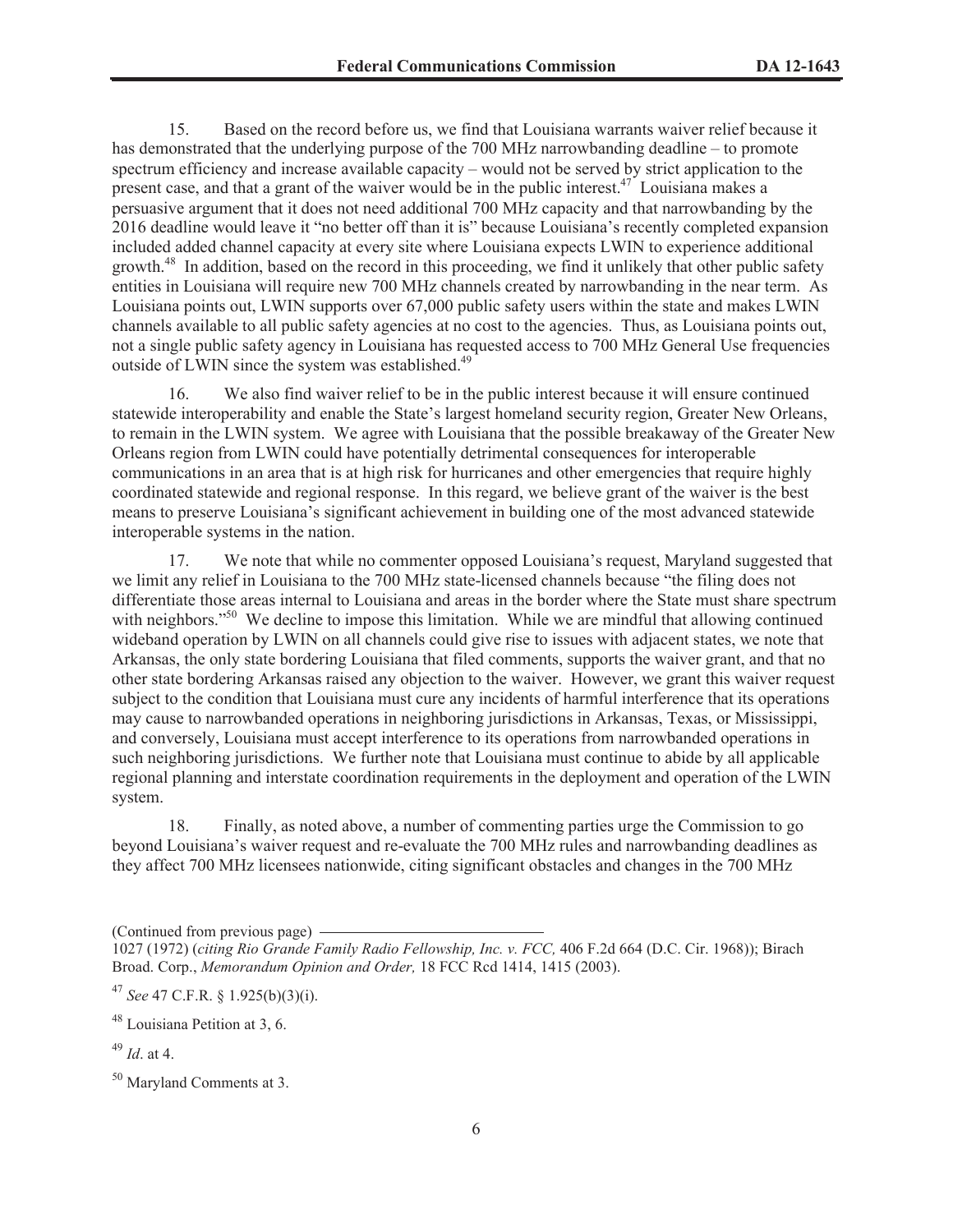15. Based on the record before us, we find that Louisiana warrants waiver relief because it has demonstrated that the underlying purpose of the 700 MHz narrowbanding deadline – to promote spectrum efficiency and increase available capacity – would not be served by strict application to the present case, and that a grant of the waiver would be in the public interest.<sup>47</sup> Louisiana makes a persuasive argument that it does not need additional 700 MHz capacity and that narrowbanding by the 2016 deadline would leave it "no better off than it is" because Louisiana's recently completed expansion included added channel capacity at every site where Louisiana expects LWIN to experience additional growth.<sup>48</sup> In addition, based on the record in this proceeding, we find it unlikely that other public safety entities in Louisiana will require new 700 MHz channels created by narrowbanding in the near term. As Louisiana points out, LWIN supports over 67,000 public safety users within the state and makes LWIN channels available to all public safety agencies at no cost to the agencies. Thus, as Louisiana points out, not a single public safety agency in Louisiana has requested access to 700 MHz General Use frequencies outside of LWIN since the system was established.<sup>49</sup>

16. We also find waiver relief to be in the public interest because it will ensure continued statewide interoperability and enable the State's largest homeland security region, Greater New Orleans, to remain in the LWIN system. We agree with Louisiana that the possible breakaway of the Greater New Orleans region from LWIN could have potentially detrimental consequences for interoperable communications in an area that is at high risk for hurricanes and other emergencies that require highly coordinated statewide and regional response. In this regard, we believe grant of the waiver is the best means to preserve Louisiana's significant achievement in building one of the most advanced statewide interoperable systems in the nation.

17. We note that while no commenter opposed Louisiana's request, Maryland suggested that we limit any relief in Louisiana to the 700 MHz state-licensed channels because "the filing does not differentiate those areas internal to Louisiana and areas in the border where the State must share spectrum with neighbors."<sup>50</sup> We decline to impose this limitation. While we are mindful that allowing continued wideband operation by LWIN on all channels could give rise to issues with adjacent states, we note that Arkansas, the only state bordering Louisiana that filed comments, supports the waiver grant, and that no other state bordering Arkansas raised any objection to the waiver. However, we grant this waiver request subject to the condition that Louisiana must cure any incidents of harmful interference that its operations may cause to narrowbanded operations in neighboring jurisdictions in Arkansas, Texas, or Mississippi, and conversely, Louisiana must accept interference to its operations from narrowbanded operations in such neighboring jurisdictions. We further note that Louisiana must continue to abide by all applicable regional planning and interstate coordination requirements in the deployment and operation of the LWIN system.

18. Finally, as noted above, a number of commenting parties urge the Commission to go beyond Louisiana's waiver request and re-evaluate the 700 MHz rules and narrowbanding deadlines as they affect 700 MHz licensees nationwide, citing significant obstacles and changes in the 700 MHz

(Continued from previous page)

<sup>1027 (1972) (</sup>*citing Rio Grande Family Radio Fellowship, Inc. v. FCC,* 406 F.2d 664 (D.C. Cir. 1968)); Birach Broad. Corp., *Memorandum Opinion and Order,* 18 FCC Rcd 1414, 1415 (2003).

<sup>47</sup> *See* 47 C.F.R. § 1.925(b)(3)(i).

 $48$  Louisiana Petition at 3, 6.

<sup>49</sup> *Id*. at 4.

<sup>50</sup> Maryland Comments at 3.